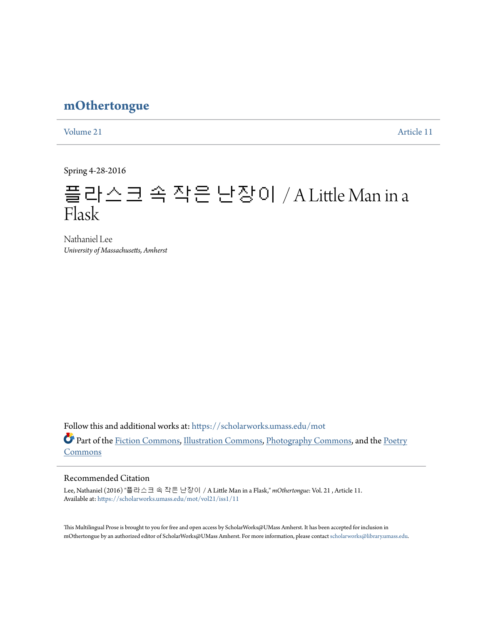## **[mOthertongue](https://scholarworks.umass.edu/mot?utm_source=scholarworks.umass.edu%2Fmot%2Fvol21%2Fiss1%2F11&utm_medium=PDF&utm_campaign=PDFCoverPages)**

[Volume 21](https://scholarworks.umass.edu/mot/vol21?utm_source=scholarworks.umass.edu%2Fmot%2Fvol21%2Fiss1%2F11&utm_medium=PDF&utm_campaign=PDFCoverPages) [Article 11](https://scholarworks.umass.edu/mot/vol21/iss1/11?utm_source=scholarworks.umass.edu%2Fmot%2Fvol21%2Fiss1%2F11&utm_medium=PDF&utm_campaign=PDFCoverPages)

Spring 4-28-2016

# 플라스크 속 작은 난장이 / A Little Man in a Flask

Nathaniel Lee *University of Massachusetts, Amherst*

Follow this and additional works at: [https://scholarworks.umass.edu/mot](https://scholarworks.umass.edu/mot?utm_source=scholarworks.umass.edu%2Fmot%2Fvol21%2Fiss1%2F11&utm_medium=PDF&utm_campaign=PDFCoverPages) Part of the [Fiction Commons](http://network.bepress.com/hgg/discipline/1151?utm_source=scholarworks.umass.edu%2Fmot%2Fvol21%2Fiss1%2F11&utm_medium=PDF&utm_campaign=PDFCoverPages), [Illustration Commons,](http://network.bepress.com/hgg/discipline/1135?utm_source=scholarworks.umass.edu%2Fmot%2Fvol21%2Fiss1%2F11&utm_medium=PDF&utm_campaign=PDFCoverPages) [Photography Commons,](http://network.bepress.com/hgg/discipline/1142?utm_source=scholarworks.umass.edu%2Fmot%2Fvol21%2Fiss1%2F11&utm_medium=PDF&utm_campaign=PDFCoverPages) and the [Poetry](http://network.bepress.com/hgg/discipline/1153?utm_source=scholarworks.umass.edu%2Fmot%2Fvol21%2Fiss1%2F11&utm_medium=PDF&utm_campaign=PDFCoverPages) [Commons](http://network.bepress.com/hgg/discipline/1153?utm_source=scholarworks.umass.edu%2Fmot%2Fvol21%2Fiss1%2F11&utm_medium=PDF&utm_campaign=PDFCoverPages)

### Recommended Citation

Lee, Nathaniel (2016) "플라스크 속 작은 난장이 / A Little Man in a Flask," *mOthertongue*: Vol. 21 , Article 11. Available at: [https://scholarworks.umass.edu/mot/vol21/iss1/11](https://scholarworks.umass.edu/mot/vol21/iss1/11?utm_source=scholarworks.umass.edu%2Fmot%2Fvol21%2Fiss1%2F11&utm_medium=PDF&utm_campaign=PDFCoverPages)

This Multilingual Prose is brought to you for free and open access by ScholarWorks@UMass Amherst. It has been accepted for inclusion in mOthertongue by an authorized editor of ScholarWorks@UMass Amherst. For more information, please contact [scholarworks@library.umass.edu](mailto:scholarworks@library.umass.edu).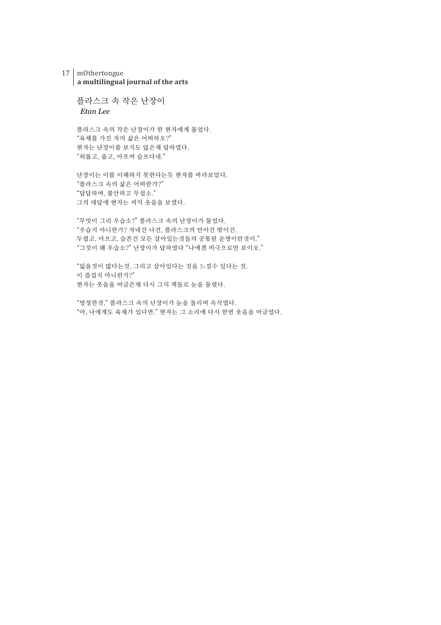#### 17 mOthertongue a multilingual journal of the arts

플라스크 속 작은 난장이 *Etan Lee*

플라스크 속의 작은 난장이가 한 현자에게 물었다. "육체를 가진 자의 삶은 어떠하오?" 현자는 난장이를 보지도 않은채 답하였다. "외롭고, 춥고, 아프며 슬프다네."

난장이는 이를 이해하지 못한다는듯 현자를 바라보았다. "플라스크 속의 삶은 어떠한가?" "답답하며, 불안하고 무섭소." 그의 대답에 현자는 씨익 웃음을 보였다.

"무엇이 그리 우습소?" 플라스크 속의 난장이가 물었다. "우습지 아니한가? 자네건 나건, 플라스크의 안이건 밖이건. 두렵고, 아프고, 슬픈건 모든 살아있는것들의 공통된 운명이란것이." "그것이 왜 우습소?" 난장이가 답하였다 "나에겐 비극으로만 보이오."

"잃을것이 많다는것. 그리고 살아있다는 것을 느낄수 있다는 것. 이 즐겁지 아니한가?" 현자는 웃음을 머금은채 다시 그의 책들로 눈을 돌렸다.

"멍청한것." 플라스크 속의 난장이가 눈을 돌리며 속삭였다. "아, 나에게도 육체가 있다면." 현자는 그 소리에 다시 한번 웃음을 머금었다.